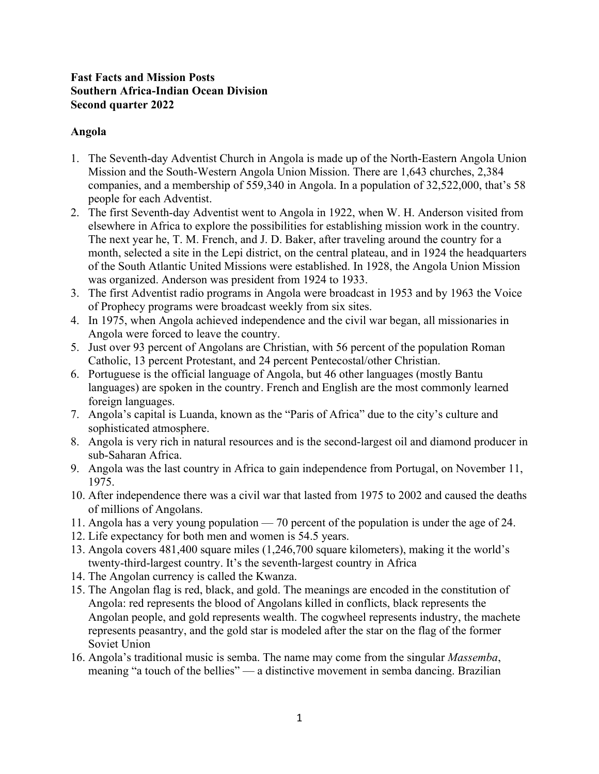# **Fast Facts and Mission Posts Southern Africa-Indian Ocean Division Second quarter 2022**

# **Angola**

- 1. The Seventh-day Adventist Church in Angola is made up of the North-Eastern Angola Union Mission and the South-Western Angola Union Mission. There are 1,643 churches, 2,384 companies, and a membership of 559,340 in Angola. In a population of 32,522,000, that's 58 people for each Adventist.
- 2. The first Seventh-day Adventist went to Angola in 1922, when W. H. Anderson visited from elsewhere in Africa to explore the possibilities for establishing mission work in the country. The next year he, T. M. French, and J. D. Baker, after traveling around the country for a month, selected a site in the Lepi district, on the central plateau, and in 1924 the headquarters of the South Atlantic United Missions were established. In 1928, the Angola Union Mission was organized. Anderson was president from 1924 to 1933.
- 3. The first Adventist radio programs in Angola were broadcast in 1953 and by 1963 the Voice of Prophecy programs were broadcast weekly from six sites.
- 4. In 1975, when Angola achieved independence and the civil war began, all missionaries in Angola were forced to leave the country.
- 5. Just over 93 percent of Angolans are Christian, with 56 percent of the population Roman Catholic, 13 percent Protestant, and 24 percent Pentecostal/other Christian.
- 6. Portuguese is the official language of Angola, but 46 other languages (mostly Bantu languages) are spoken in the country. French and English are the most commonly learned foreign languages.
- 7. Angola's capital is Luanda, known as the "Paris of Africa" due to the city's culture and sophisticated atmosphere.
- 8. Angola is very rich in natural resources and is the second-largest oil and diamond producer in sub-Saharan Africa.
- 9. Angola was the last country in Africa to gain independence from Portugal, on November 11, 1975.
- 10. After independence there was a civil war that lasted from 1975 to 2002 and caused the deaths of millions of Angolans.
- 11. Angola has a very young population 70 percent of the population is under the age of 24.
- 12. Life expectancy for both men and women is 54.5 years.
- 13. Angola covers 481,400 square miles (1,246,700 square kilometers), making it the world's twenty-third-largest country. It's the seventh-largest country in Africa
- 14. The Angolan currency is called the Kwanza.
- 15. The Angolan flag is red, black, and gold. The meanings are encoded in the constitution of Angola: red represents the blood of Angolans killed in conflicts, black represents the Angolan people, and gold represents wealth. The cogwheel represents industry, the machete represents peasantry, and the gold star is modeled after the star on the flag of the former Soviet Union
- 16. Angola's traditional music is semba. The name may come from the singular *Massemba*, meaning "a touch of the bellies" — a distinctive movement in semba dancing. Brazilian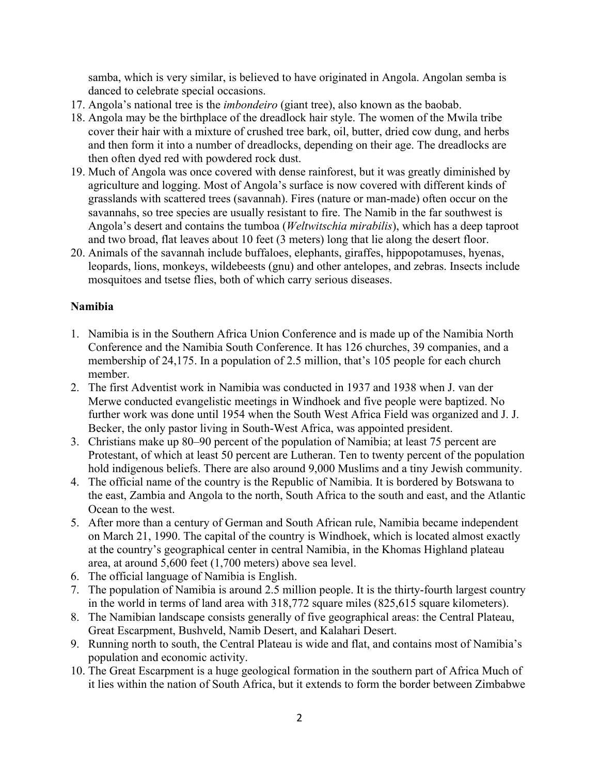samba, which is very similar, is believed to have originated in Angola. Angolan semba is danced to celebrate special occasions.

- 17. Angola's national tree is the *imbondeiro* (giant tree), also known as the baobab.
- 18. Angola may be the birthplace of the dreadlock hair style. The women of the Mwila tribe cover their hair with a mixture of crushed tree bark, oil, butter, dried cow dung, and herbs and then form it into a number of dreadlocks, depending on their age. The dreadlocks are then often dyed red with powdered rock dust.
- 19. Much of Angola was once covered with dense rainforest, but it was greatly diminished by agriculture and logging. Most of Angola's surface is now covered with different kinds of grasslands with scattered trees (savannah). Fires (nature or man-made) often occur on the savannahs, so tree species are usually resistant to fire. The Namib in the far southwest is Angola's desert and contains the tumboa (*Weltwitschia mirabilis*), which has a deep taproot and two broad, flat leaves about 10 feet (3 meters) long that lie along the desert floor.
- 20. Animals of the savannah include buffaloes, elephants, giraffes, hippopotamuses, hyenas, leopards, lions, monkeys, wildebeests (gnu) and other antelopes, and zebras. Insects include mosquitoes and tsetse flies, both of which carry serious diseases.

# **Namibia**

- 1. Namibia is in the Southern Africa Union Conference and is made up of the Namibia North Conference and the Namibia South Conference. It has 126 churches, 39 companies, and a membership of 24,175. In a population of 2.5 million, that's 105 people for each church member.
- 2. The first Adventist work in Namibia was conducted in 1937 and 1938 when J. van der Merwe conducted evangelistic meetings in Windhoek and five people were baptized. No further work was done until 1954 when the South West Africa Field was organized and J. J. Becker, the only pastor living in South-West Africa, was appointed president.
- 3. Christians make up 80–90 percent of the population of Namibia; at least 75 percent are Protestant, of which at least 50 percent are Lutheran. Ten to twenty percent of the population hold indigenous beliefs. There are also around 9,000 Muslims and a tiny Jewish community.
- 4. The official name of the country is the Republic of Namibia. It is bordered by Botswana to the east, Zambia and Angola to the north, South Africa to the south and east, and the Atlantic Ocean to the west.
- 5. After more than a century of German and South African rule, Namibia became independent on March 21, 1990. The capital of the country is Windhoek, which is located almost exactly at the country's geographical center in central Namibia, in the Khomas Highland plateau area, at around 5,600 feet (1,700 meters) above sea level.
- 6. The official language of Namibia is English.
- 7. The population of Namibia is around 2.5 million people. It is the thirty-fourth largest country in the world in terms of land area with 318,772 square miles (825,615 square kilometers).
- 8. The Namibian landscape consists generally of five geographical areas: the Central Plateau, Great Escarpment, Bushveld, Namib Desert, and Kalahari Desert.
- 9. Running north to south, the Central Plateau is wide and flat, and contains most of Namibia's population and economic activity.
- 10. The Great Escarpment is a huge geological formation in the southern part of Africa Much of it lies within the nation of South Africa, but it extends to form the border between Zimbabwe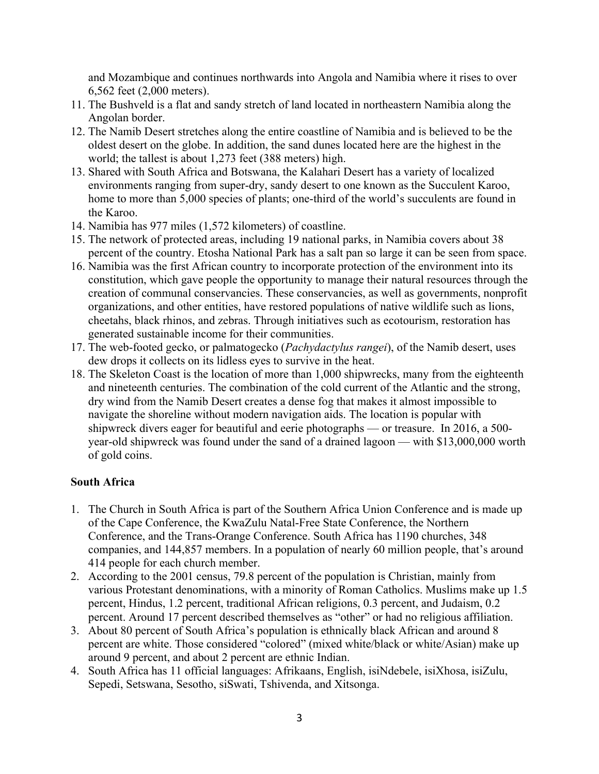and Mozambique and continues northwards into Angola and Namibia where it rises to over 6,562 feet (2,000 meters).

- 11. The Bushveld is a flat and sandy stretch of land located in northeastern Namibia along the Angolan border.
- 12. The Namib Desert stretches along the entire coastline of Namibia and is believed to be the oldest desert on the globe. In addition, the sand dunes located here are the highest in the world; the tallest is about 1,273 feet (388 meters) high.
- 13. Shared with South Africa and Botswana, the Kalahari Desert has a variety of localized environments ranging from super-dry, sandy desert to one known as the Succulent Karoo, home to more than 5,000 species of plants; one-third of the world's succulents are found in the Karoo.
- 14. Namibia has 977 miles (1,572 kilometers) of coastline.
- 15. The network of protected areas, including 19 national parks, in Namibia covers about 38 percent of the country. Etosha National Park has a salt pan so large it can be seen from space.
- 16. Namibia was the first African country to incorporate protection of the environment into its constitution, which gave people the opportunity to manage their natural resources through the creation of communal conservancies. These conservancies, as well as governments, nonprofit organizations, and other entities, have restored populations of native wildlife such as lions, cheetahs, black rhinos, and zebras. Through initiatives such as ecotourism, restoration has generated sustainable income for their communities.
- 17. The web-footed gecko, or palmatogecko (*Pachydactylus rangei*), of the Namib desert, uses dew drops it collects on its lidless eyes to survive in the heat.
- 18. The Skeleton Coast is the location of more than 1,000 shipwrecks, many from the eighteenth and nineteenth centuries. The combination of the cold current of the Atlantic and the strong, dry wind from the Namib Desert creates a dense fog that makes it almost impossible to navigate the shoreline without modern navigation aids. The location is popular with shipwreck divers eager for beautiful and eerie photographs — or treasure. In 2016, a 500 year-old shipwreck was found under the sand of a drained lagoon — with \$13,000,000 worth of gold coins.

### **South Africa**

- 1. The Church in South Africa is part of the Southern Africa Union Conference and is made up of the Cape Conference, the KwaZulu Natal-Free State Conference, the Northern Conference, and the Trans-Orange Conference. South Africa has 1190 churches, 348 companies, and 144,857 members. In a population of nearly 60 million people, that's around 414 people for each church member.
- 2. According to the 2001 census, 79.8 percent of the population is Christian, mainly from various Protestant denominations, with a minority of Roman Catholics. Muslims make up 1.5 percent, Hindus, 1.2 percent, traditional African religions, 0.3 percent, and Judaism, 0.2 percent. Around 17 percent described themselves as "other" or had no religious affiliation.
- 3. About 80 percent of South Africa's population is ethnically black African and around 8 percent are white. Those considered "colored" (mixed white/black or white/Asian) make up around 9 percent, and about 2 percent are ethnic Indian.
- 4. South Africa has 11 official languages: Afrikaans, English, isiNdebele, isiXhosa, isiZulu, Sepedi, Setswana, Sesotho, siSwati, Tshivenda, and Xitsonga.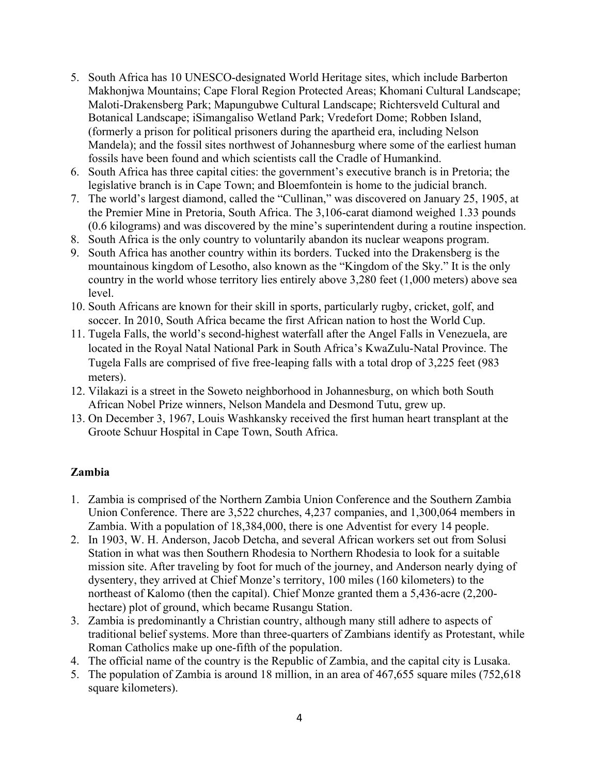- 5. South Africa has 10 UNESCO-designated World Heritage sites, which include Barberton Makhonjwa Mountains; Cape Floral Region Protected Areas; Khomani Cultural Landscape; Maloti-Drakensberg Park; Mapungubwe Cultural Landscape; Richtersveld Cultural and Botanical Landscape; iSimangaliso Wetland Park; Vredefort Dome; Robben Island, (formerly a prison for political prisoners during the apartheid era, including Nelson Mandela); and the fossil sites northwest of Johannesburg where some of the earliest human fossils have been found and which scientists call the Cradle of Humankind.
- 6. South Africa has three capital cities: the government's executive branch is in Pretoria; the legislative branch is in Cape Town; and Bloemfontein is home to the judicial branch.
- 7. The world's largest diamond, called the "Cullinan," was discovered on January 25, 1905, at the Premier Mine in Pretoria, South Africa. The 3,106-carat diamond weighed 1.33 pounds (0.6 kilograms) and was discovered by the mine's superintendent during a routine inspection.
- 8. South Africa is the only country to voluntarily abandon its nuclear weapons program.
- 9. South Africa has another country within its borders. Tucked into the Drakensberg is the mountainous kingdom of Lesotho, also known as the "Kingdom of the Sky." It is the only country in the world whose territory lies entirely above 3,280 feet (1,000 meters) above sea level.
- 10. South Africans are known for their skill in sports, particularly rugby, cricket, golf, and soccer. In 2010, South Africa became the first African nation to host the World Cup.
- 11. Tugela Falls, the world's second-highest waterfall after the Angel Falls in Venezuela, are located in the Royal Natal National Park in South Africa's KwaZulu-Natal Province. The Tugela Falls are comprised of five free-leaping falls with a total drop of 3,225 feet (983 meters).
- 12. Vilakazi is a street in the Soweto neighborhood in Johannesburg, on which both South African Nobel Prize winners, Nelson Mandela and Desmond Tutu, grew up.
- 13. On December 3, 1967, Louis Washkansky received the first human heart transplant at the Groote Schuur Hospital in Cape Town, South Africa.

### **Zambia**

- 1. Zambia is comprised of the Northern Zambia Union Conference and the Southern Zambia Union Conference. There are 3,522 churches, 4,237 companies, and 1,300,064 members in Zambia. With a population of 18,384,000, there is one Adventist for every 14 people.
- 2. In 1903, W. H. Anderson, Jacob Detcha, and several African workers set out from Solusi Station in what was then Southern Rhodesia to Northern Rhodesia to look for a suitable mission site. After traveling by foot for much of the journey, and Anderson nearly dying of dysentery, they arrived at Chief Monze's territory, 100 miles (160 kilometers) to the northeast of Kalomo (then the capital). Chief Monze granted them a 5,436-acre (2,200 hectare) plot of ground, which became Rusangu Station.
- 3. Zambia is predominantly a Christian country, although many still adhere to aspects of traditional belief systems. More than three-quarters of Zambians identify as Protestant, while Roman Catholics make up one-fifth of the population.
- 4. The official name of the country is the Republic of Zambia, and the capital city is Lusaka.
- 5. The population of Zambia is around 18 million, in an area of 467,655 square miles (752,618 square kilometers).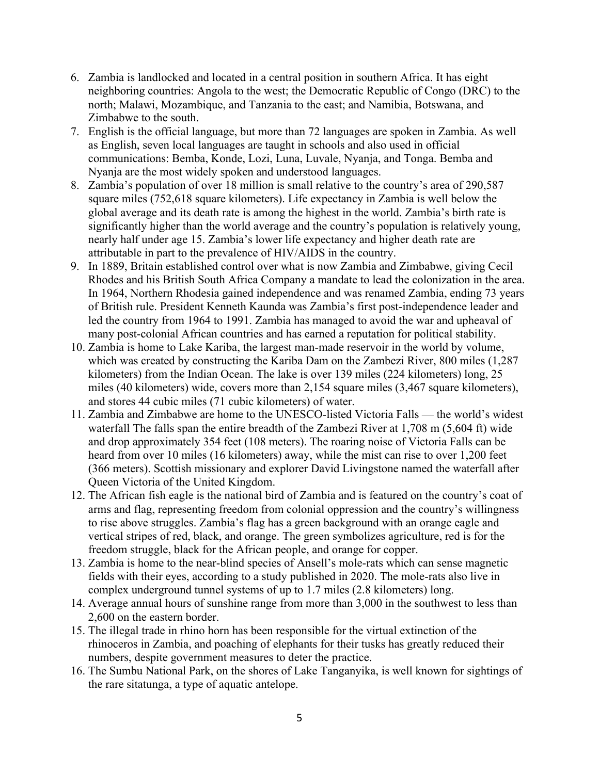- 6. Zambia is landlocked and located in a central position in southern Africa. It has eight neighboring countries: Angola to the west; the Democratic Republic of Congo (DRC) to the north; Malawi, Mozambique, and Tanzania to the east; and Namibia, Botswana, and Zimbabwe to the south.
- 7. English is the official language, but more than 72 languages are spoken in Zambia. As well as English, seven local languages are taught in schools and also used in official communications: Bemba, Konde, Lozi, Luna, Luvale, Nyanja, and Tonga. Bemba and Nyanja are the most widely spoken and understood languages.
- 8. Zambia's population of over 18 million is small relative to the country's area of 290,587 square miles (752,618 square kilometers). Life expectancy in Zambia is well below the global average and its death rate is among the highest in the world. Zambia's birth rate is significantly higher than the world average and the country's population is relatively young, nearly half under age 15. Zambia's lower life expectancy and higher death rate are attributable in part to the prevalence of HIV/AIDS in the country.
- 9. In 1889, Britain established control over what is now Zambia and Zimbabwe, giving Cecil Rhodes and his British South Africa Company a mandate to lead the colonization in the area. In 1964, Northern Rhodesia gained independence and was renamed Zambia, ending 73 years of British rule. President Kenneth Kaunda was Zambia's first post-independence leader and led the country from 1964 to 1991. Zambia has managed to avoid the war and upheaval of many post-colonial African countries and has earned a reputation for political stability.
- 10. Zambia is home to Lake Kariba, the largest man-made reservoir in the world by volume, which was created by constructing the Kariba Dam on the Zambezi River, 800 miles (1,287 kilometers) from the Indian Ocean. The lake is over 139 miles (224 kilometers) long, 25 miles (40 kilometers) wide, covers more than 2,154 square miles (3,467 square kilometers), and stores 44 cubic miles (71 cubic kilometers) of water.
- 11. Zambia and Zimbabwe are home to the UNESCO-listed Victoria Falls the world's widest waterfall The falls span the entire breadth of the Zambezi River at 1,708 m (5,604 ft) wide and drop approximately 354 feet (108 meters). The roaring noise of Victoria Falls can be heard from over 10 miles (16 kilometers) away, while the mist can rise to over 1,200 feet (366 meters). Scottish missionary and explorer David Livingstone named the waterfall after Queen Victoria of the United Kingdom.
- 12. The African fish eagle is the national bird of Zambia and is featured on the country's coat of arms and flag, representing freedom from colonial oppression and the country's willingness to rise above struggles. Zambia's flag has a green background with an orange eagle and vertical stripes of red, black, and orange. The green symbolizes agriculture, red is for the freedom struggle, black for the African people, and orange for copper.
- 13. Zambia is home to the near-blind species of Ansell's mole-rats which can sense magnetic fields with their eyes, according to a study published in 2020. The mole-rats also live in complex underground tunnel systems of up to 1.7 miles (2.8 kilometers) long.
- 14. Average annual hours of sunshine range from more than 3,000 in the southwest to less than 2,600 on the eastern border.
- 15. The illegal trade in rhino horn has been responsible for the virtual extinction of the rhinoceros in Zambia, and poaching of elephants for their tusks has greatly reduced their numbers, despite government measures to deter the practice.
- 16. The Sumbu National Park, on the shores of Lake Tanganyika, is well known for sightings of the rare sitatunga, a type of aquatic antelope.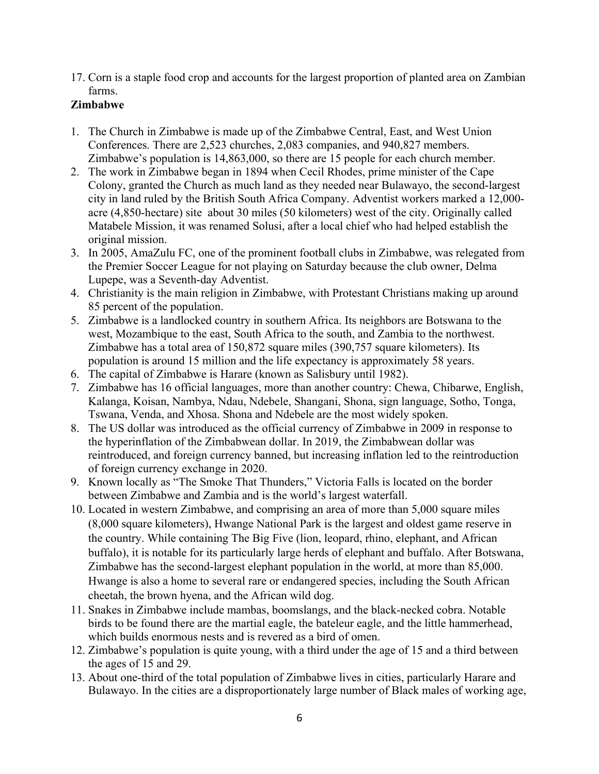17. Corn is a staple food crop and accounts for the largest proportion of planted area on Zambian farms.

# **Zimbabwe**

- 1. The Church in Zimbabwe is made up of the Zimbabwe Central, East, and West Union Conferences. There are 2,523 churches, 2,083 companies, and 940,827 members. Zimbabwe's population is 14,863,000, so there are 15 people for each church member.
- 2. The work in Zimbabwe began in 1894 when Cecil Rhodes, prime minister of the Cape Colony, granted the Church as much land as they needed near Bulawayo, the second-largest city in land ruled by the British South Africa Company. Adventist workers marked a 12,000 acre (4,850-hectare) site about 30 miles (50 kilometers) west of the city. Originally called Matabele Mission, it was renamed Solusi, after a local chief who had helped establish the original mission.
- 3. In 2005, AmaZulu FC, one of the prominent football clubs in Zimbabwe, was relegated from the Premier Soccer League for not playing on Saturday because the club owner, Delma Lupepe, was a Seventh-day Adventist.
- 4. Christianity is the main religion in Zimbabwe, with Protestant Christians making up around 85 percent of the population.
- 5. Zimbabwe is a landlocked country in southern Africa. Its neighbors are Botswana to the west, Mozambique to the east, South Africa to the south, and Zambia to the northwest. Zimbabwe has a total area of 150,872 square miles (390,757 square kilometers). Its population is around 15 million and the life expectancy is approximately 58 years.
- 6. The capital of Zimbabwe is Harare (known as Salisbury until 1982).
- 7. Zimbabwe has 16 official languages, more than another country: Chewa, Chibarwe, English, Kalanga, Koisan, Nambya, Ndau, Ndebele, Shangani, Shona, sign language, Sotho, Tonga, Tswana, Venda, and Xhosa. Shona and Ndebele are the most widely spoken.
- 8. The US dollar was introduced as the official currency of Zimbabwe in 2009 in response to the hyperinflation of the Zimbabwean dollar. In 2019, the Zimbabwean dollar was reintroduced, and foreign currency banned, but increasing inflation led to the reintroduction of foreign currency exchange in 2020.
- 9. Known locally as "The Smoke That Thunders," Victoria Falls is located on the border between Zimbabwe and Zambia and is the world's largest waterfall.
- 10. Located in western Zimbabwe, and comprising an area of more than 5,000 square miles (8,000 square kilometers), Hwange National Park is the largest and oldest game reserve in the country. While containing The Big Five (lion, leopard, rhino, elephant, and African buffalo), it is notable for its particularly large herds of elephant and buffalo. After Botswana, Zimbabwe has the second-largest elephant population in the world, at more than 85,000. Hwange is also a home to several rare or endangered species, including the South African cheetah, the brown hyena, and the African wild dog.
- 11. Snakes in Zimbabwe include mambas, boomslangs, and the black-necked cobra. Notable birds to be found there are the martial eagle, the bateleur eagle, and the little hammerhead, which builds enormous nests and is revered as a bird of omen.
- 12. Zimbabwe's population is quite young, with a third under the age of 15 and a third between the ages of 15 and 29.
- 13. About one-third of the total population of Zimbabwe lives in cities, particularly Harare and Bulawayo. In the cities are a disproportionately large number of Black males of working age,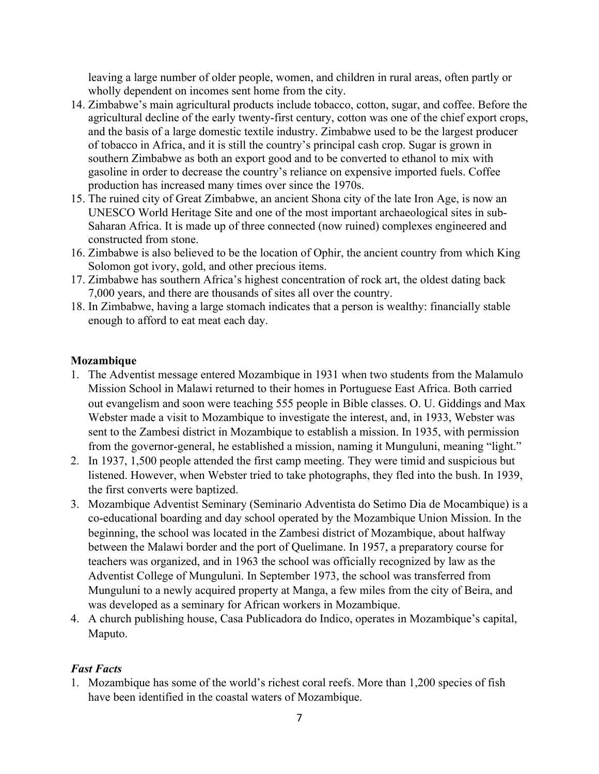leaving a large number of older people, women, and children in rural areas, often partly or wholly dependent on incomes sent home from the city.

- 14. Zimbabwe's main agricultural products include tobacco, cotton, sugar, and coffee. Before the agricultural decline of the early twenty-first century, cotton was one of the chief export crops, and the basis of a large domestic textile industry. Zimbabwe used to be the largest producer of tobacco in Africa, and it is still the country's principal cash crop. Sugar is grown in southern Zimbabwe as both an export good and to be converted to ethanol to mix with gasoline in order to decrease the country's reliance on expensive imported fuels. Coffee production has increased many times over since the 1970s.
- 15. The ruined city of Great Zimbabwe, an ancient Shona city of the late Iron Age, is now an UNESCO World Heritage Site and one of the most important archaeological sites in sub-Saharan Africa. It is made up of three connected (now ruined) complexes engineered and constructed from stone.
- 16. Zimbabwe is also believed to be the location of Ophir, the ancient country from which King Solomon got ivory, gold, and other precious items.
- 17. Zimbabwe has southern Africa's highest concentration of rock art, the oldest dating back 7,000 years, and there are thousands of sites all over the country.
- 18. In Zimbabwe, having a large stomach indicates that a person is wealthy: financially stable enough to afford to eat meat each day.

# **Mozambique**

- 1. The Adventist message entered Mozambique in 1931 when two students from the Malamulo Mission School in Malawi returned to their homes in Portuguese East Africa. Both carried out evangelism and soon were teaching 555 people in Bible classes. O. U. Giddings and Max Webster made a visit to Mozambique to investigate the interest, and, in 1933, Webster was sent to the Zambesi district in Mozambique to establish a mission. In 1935, with permission from the governor-general, he established a mission, naming it Munguluni, meaning "light."
- 2. In 1937, 1,500 people attended the first camp meeting. They were timid and suspicious but listened. However, when Webster tried to take photographs, they fled into the bush. In 1939, the first converts were baptized.
- 3. Mozambique Adventist Seminary (Seminario Adventista do Setimo Dia de Mocambique) is a co-educational boarding and day school operated by the Mozambique Union Mission. In the beginning, the school was located in the Zambesi district of Mozambique, about halfway between the Malawi border and the port of Quelimane. In 1957, a preparatory course for teachers was organized, and in 1963 the school was officially recognized by law as the Adventist College of Munguluni. In September 1973, the school was transferred from Munguluni to a newly acquired property at Manga, a few miles from the city of Beira, and was developed as a seminary for African workers in Mozambique.
- 4. A church publishing house, Casa Publicadora do Indico, operates in Mozambique's capital, Maputo.

# *Fast Facts*

1. Mozambique has some of the world's richest coral reefs. More than 1,200 species of fish have been identified in the coastal waters of Mozambique.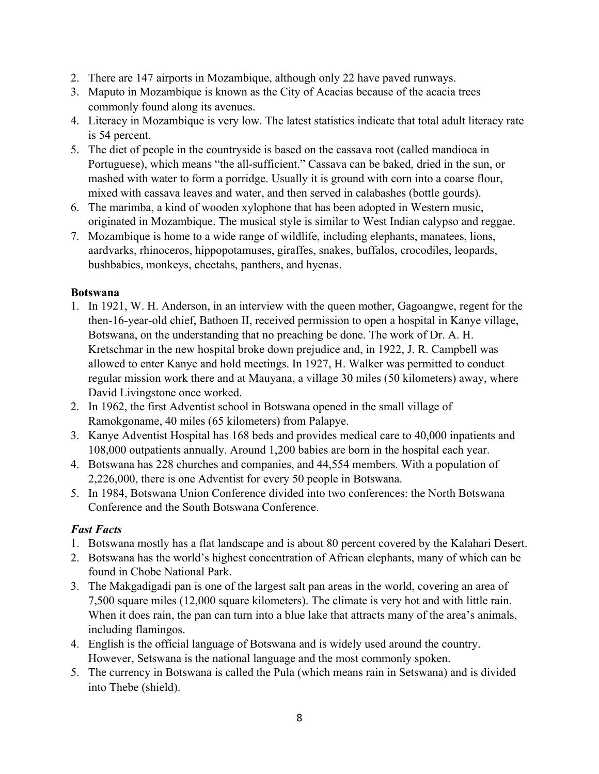- 2. There are 147 airports in Mozambique, although only 22 have paved runways.
- 3. Maputo in Mozambique is known as the City of Acacias because of the acacia trees commonly found along its avenues.
- 4. Literacy in Mozambique is very low. The latest statistics indicate that total adult literacy rate is 54 percent.
- 5. The diet of people in the countryside is based on the cassava root (called mandioca in Portuguese), which means "the all-sufficient." Cassava can be baked, dried in the sun, or mashed with water to form a porridge. Usually it is ground with corn into a coarse flour, mixed with cassava leaves and water, and then served in calabashes (bottle gourds).
- 6. The marimba, a kind of wooden xylophone that has been adopted in Western music, originated in Mozambique. The musical style is similar to West Indian calypso and reggae.
- 7. Mozambique is home to a wide range of wildlife, including elephants, manatees, lions, aardvarks, rhinoceros, hippopotamuses, giraffes, snakes, buffalos, crocodiles, leopards, bushbabies, monkeys, cheetahs, panthers, and hyenas.

# **Botswana**

- 1. In 1921, W. H. Anderson, in an interview with the queen mother, Gagoangwe, regent for the then-16-year-old chief, Bathoen II, received permission to open a hospital in Kanye village, Botswana, on the understanding that no preaching be done. The work of Dr. A. H. Kretschmar in the new hospital broke down prejudice and, in 1922, J. R. Campbell was allowed to enter Kanye and hold meetings. In 1927, H. Walker was permitted to conduct regular mission work there and at Mauyana, a village 30 miles (50 kilometers) away, where David Livingstone once worked.
- 2. In 1962, the first Adventist school in Botswana opened in the small village of Ramokgoname, 40 miles (65 kilometers) from Palapye.
- 3. Kanye Adventist Hospital has 168 beds and provides medical care to 40,000 inpatients and 108,000 outpatients annually. Around 1,200 babies are born in the hospital each year.
- 4. Botswana has 228 churches and companies, and 44,554 members. With a population of 2,226,000, there is one Adventist for every 50 people in Botswana.
- 5. In 1984, Botswana Union Conference divided into two conferences: the North Botswana Conference and the South Botswana Conference.

# *Fast Facts*

- 1. Botswana mostly has a flat landscape and is about 80 percent covered by the Kalahari Desert.
- 2. Botswana has the world's highest concentration of African elephants, many of which can be found in Chobe National Park.
- 3. The Makgadigadi pan is one of the largest salt pan areas in the world, covering an area of 7,500 square miles (12,000 square kilometers). The climate is very hot and with little rain. When it does rain, the pan can turn into a blue lake that attracts many of the area's animals, including flamingos.
- 4. English is the official language of Botswana and is widely used around the country. However, Setswana is the national language and the most commonly spoken.
- 5. The currency in Botswana is called the Pula (which means rain in Setswana) and is divided into Thebe (shield).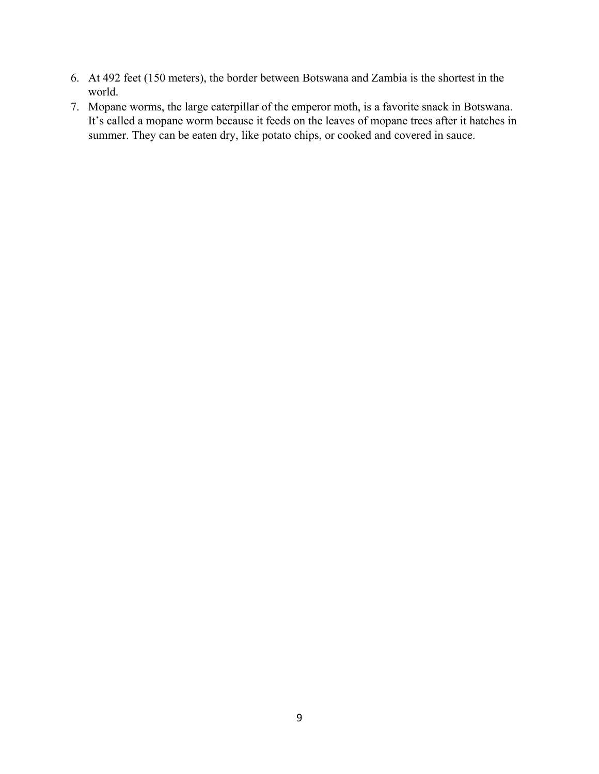- 6. At 492 feet (150 meters), the border between Botswana and Zambia is the shortest in the world.
- 7. Mopane worms, the large caterpillar of the emperor moth, is a favorite snack in Botswana. It's called a mopane worm because it feeds on the leaves of mopane trees after it hatches in summer. They can be eaten dry, like potato chips, or cooked and covered in sauce.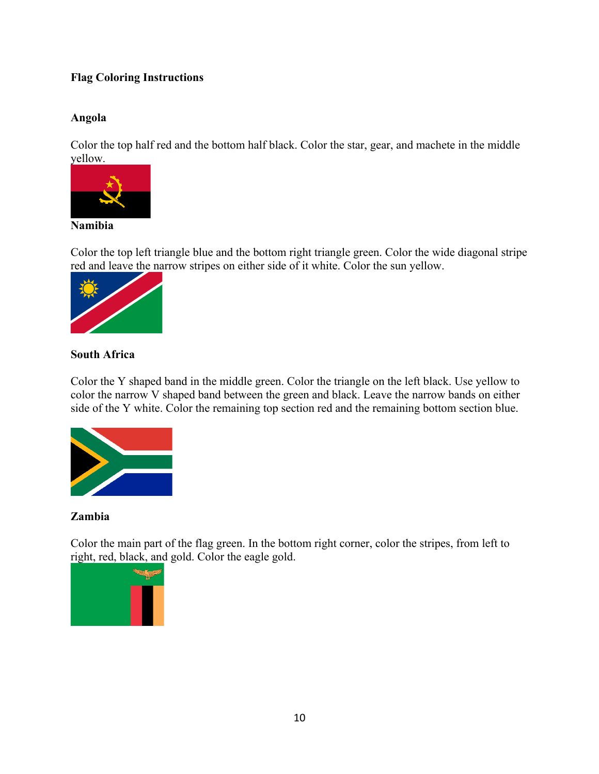# **Flag Coloring Instructions**

# **Angola**

Color the top half red and the bottom half black. Color the star, gear, and machete in the middle yellow.



# **Namibia**

Color the top left triangle blue and the bottom right triangle green. Color the wide diagonal stripe red and leave the narrow stripes on either side of it white. Color the sun yellow.



# **South Africa**

Color the Y shaped band in the middle green. Color the triangle on the left black. Use yellow to color the narrow V shaped band between the green and black. Leave the narrow bands on either side of the Y white. Color the remaining top section red and the remaining bottom section blue.



### **Zambia**

Color the main part of the flag green. In the bottom right corner, color the stripes, from left to right, red, black, and gold. Color the eagle gold.

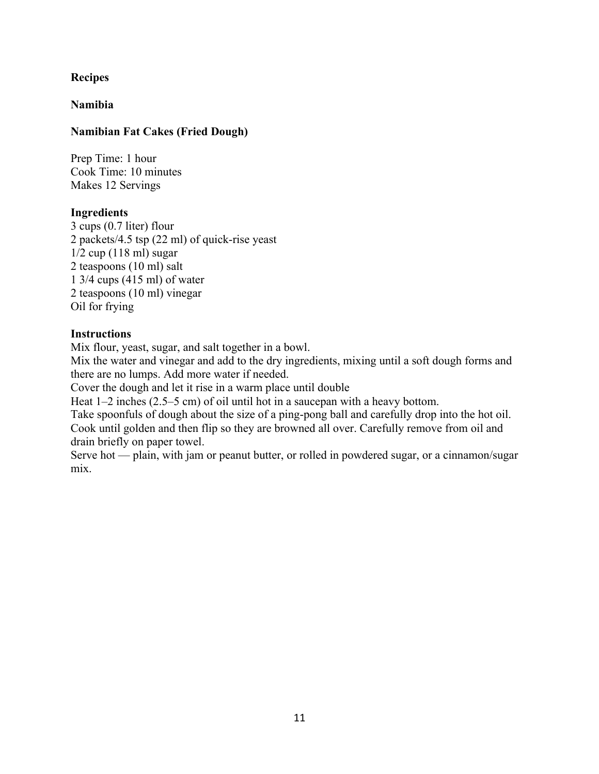# **Recipes**

### **Namibia**

### **Namibian Fat Cakes (Fried Dough)**

Prep Time: 1 hour Cook Time: 10 minutes Makes 12 Servings

#### **Ingredients**

3 cups (0.7 liter) flour 2 packets/4.5 tsp (22 ml) of quick-rise yeast 1/2 cup (118 ml) sugar 2 teaspoons (10 ml) salt 1 3/4 cups (415 ml) of water 2 teaspoons (10 ml) vinegar Oil for frying

### **Instructions**

Mix flour, yeast, sugar, and salt together in a bowl.

Mix the water and vinegar and add to the dry ingredients, mixing until a soft dough forms and there are no lumps. Add more water if needed.

Cover the dough and let it rise in a warm place until double

Heat 1–2 inches (2.5–5 cm) of oil until hot in a saucepan with a heavy bottom.

Take spoonfuls of dough about the size of a ping-pong ball and carefully drop into the hot oil. Cook until golden and then flip so they are browned all over. Carefully remove from oil and drain briefly on paper towel.

Serve hot — plain, with jam or peanut butter, or rolled in powdered sugar, or a cinnamon/sugar mix.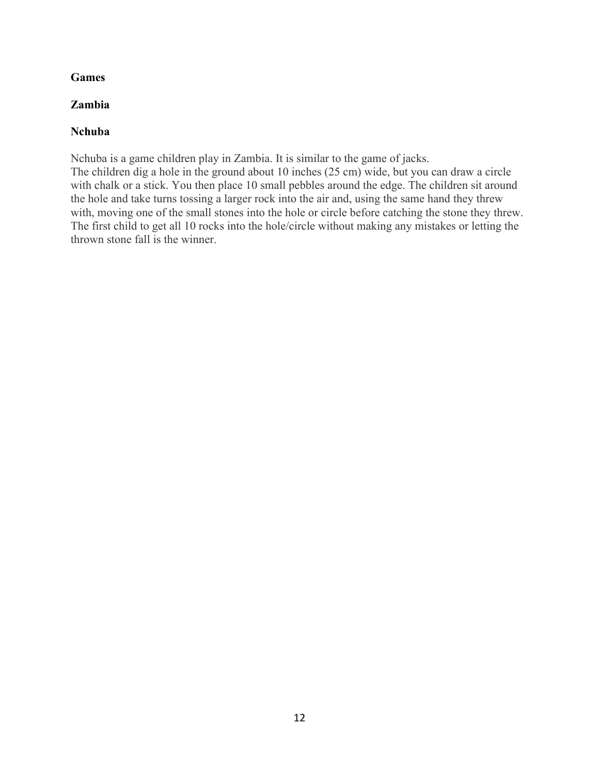# **Games**

## **Zambia**

## **Nchuba**

Nchuba is a game children play in Zambia. It is similar to the game of jacks. The children dig a hole in the ground about 10 inches (25 cm) wide, but you can draw a circle with chalk or a stick. You then place 10 small pebbles around the edge. The children sit around the hole and take turns tossing a larger rock into the air and, using the same hand they threw with, moving one of the small stones into the hole or circle before catching the stone they threw. The first child to get all 10 rocks into the hole/circle without making any mistakes or letting the thrown stone fall is the winner.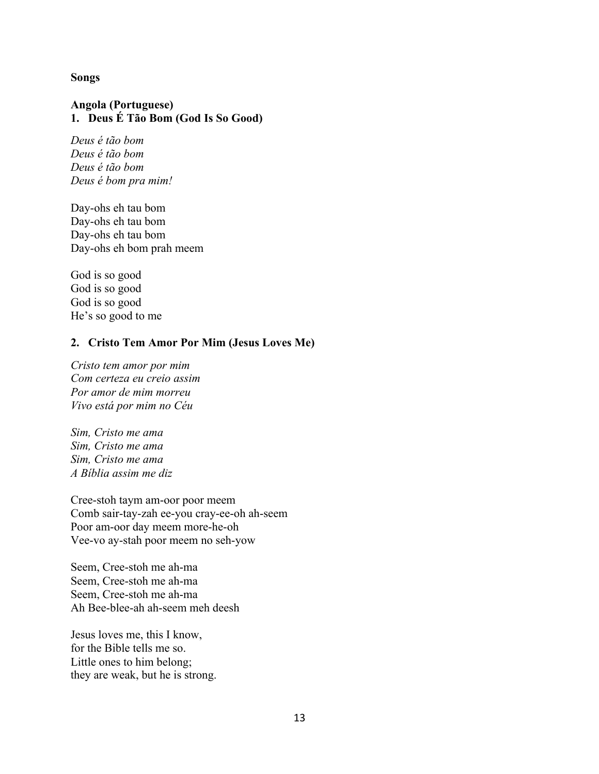#### **Songs**

### **Angola (Portuguese) 1. Deus É Tão Bom (God Is So Good)**

*Deus é tão bom Deus é tão bom Deus é tão bom Deus é bom pra mim!*

Day-ohs eh tau bom Day-ohs eh tau bom Day-ohs eh tau bom Day-ohs eh bom prah meem

God is so good God is so good God is so good He's so good to me

#### **2. Cristo Tem Amor Por Mim (Jesus Loves Me)**

*Cristo tem amor por mim Com certeza eu creio assim Por amor de mim morreu Vivo está por mim no Céu*

*Sim, Cristo me ama Sim, Cristo me ama Sim, Cristo me ama A Bíblia assim me diz*

Cree-stoh taym am-oor poor meem Comb sair-tay-zah ee-you cray-ee-oh ah-seem Poor am-oor day meem more-he-oh Vee-vo ay-stah poor meem no seh-yow

Seem, Cree-stoh me ah-ma Seem, Cree-stoh me ah-ma Seem, Cree-stoh me ah-ma Ah Bee-blee-ah ah-seem meh deesh

Jesus loves me, this I know, for the Bible tells me so. Little ones to him belong; they are weak, but he is strong.